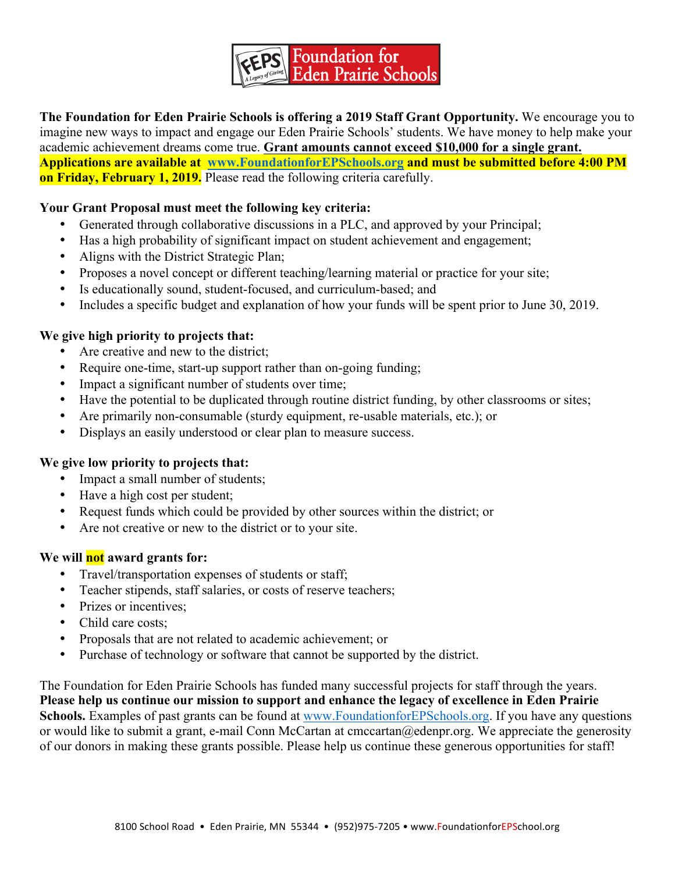

**The Foundation for Eden Prairie Schools is offering a 2019 Staff Grant Opportunity.** We encourage you to imagine new ways to impact and engage our Eden Prairie Schools' students. We have money to help make your academic achievement dreams come true. **Grant amounts cannot exceed \$10,000 for a single grant. Applications are available at www.FoundationforEPSchools.org and must be submitted before 4:00 PM on Friday, February 1, 2019.** Please read the following criteria carefully.

# **Your Grant Proposal must meet the following key criteria:**

- Generated through collaborative discussions in a PLC, and approved by your Principal;
- Has a high probability of significant impact on student achievement and engagement;
- Aligns with the District Strategic Plan;
- Proposes a novel concept or different teaching/learning material or practice for your site;
- Is educationally sound, student-focused, and curriculum-based; and
- Includes a specific budget and explanation of how your funds will be spent prior to June 30, 2019.

# **We give high priority to projects that:**

- Are creative and new to the district;
- Require one-time, start-up support rather than on-going funding;
- Impact a significant number of students over time;
- Have the potential to be duplicated through routine district funding, by other classrooms or sites;
- Are primarily non-consumable (sturdy equipment, re-usable materials, etc.); or
- Displays an easily understood or clear plan to measure success.

## **We give low priority to projects that:**

- Impact a small number of students;
- Have a high cost per student;
- Request funds which could be provided by other sources within the district; or
- Are not creative or new to the district or to your site.

## **We will not award grants for:**

- Travel/transportation expenses of students or staff;
- Teacher stipends, staff salaries, or costs of reserve teachers;
- Prizes or incentives;
- Child care costs:
- Proposals that are not related to academic achievement; or
- Purchase of technology or software that cannot be supported by the district.

The Foundation for Eden Prairie Schools has funded many successful projects for staff through the years. **Please help us continue our mission to support and enhance the legacy of excellence in Eden Prairie Schools.** Examples of past grants can be found at www.FoundationforEPSchools.org. If you have any questions or would like to submit a grant, e-mail Conn McCartan at cmccartan@edenpr.org. We appreciate the generosity of our donors in making these grants possible. Please help us continue these generous opportunities for staff!